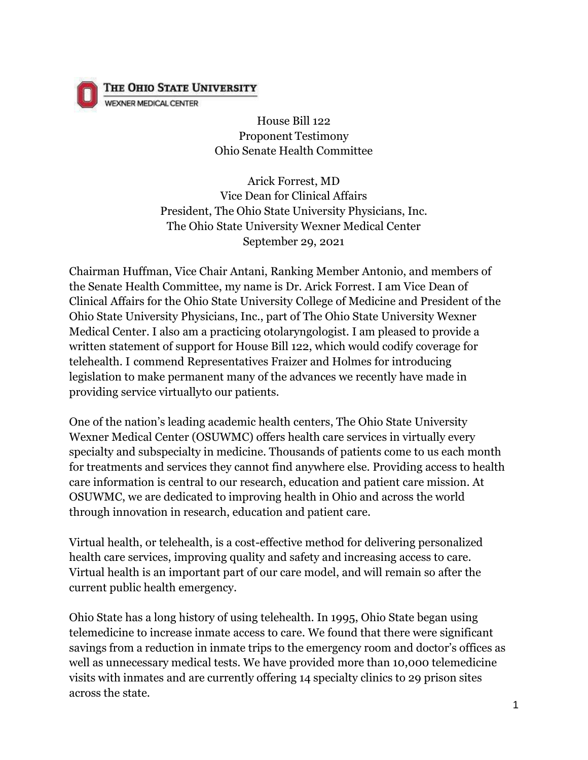

THE OHIO STATE UNIVERSITY

WEXNER MEDICAL CENTER

House Bill 122 Proponent Testimony Ohio Senate Health Committee

Arick Forrest, MD Vice Dean for Clinical Affairs President, The Ohio State University Physicians, Inc. The Ohio State University Wexner Medical Center September 29, 2021

Chairman Huffman, Vice Chair Antani, Ranking Member Antonio, and members of the Senate Health Committee, my name is Dr. Arick Forrest. I am Vice Dean of Clinical Affairs for the Ohio State University College of Medicine and President of the Ohio State University Physicians, Inc., part of The Ohio State University Wexner Medical Center. I also am a practicing otolaryngologist. I am pleased to provide a written statement of support for House Bill 122, which would codify coverage for telehealth. I commend Representatives Fraizer and Holmes for introducing legislation to make permanent many of the advances we recently have made in providing service virtuallyto our patients.

One of the nation's leading academic health centers, The Ohio State University Wexner Medical Center (OSUWMC) offers health care services in virtually every specialty and subspecialty in medicine. Thousands of patients come to us each month for treatments and services they cannot find anywhere else. Providing access to health care information is central to our research, education and patient care mission. At OSUWMC, we are dedicated to improving health in Ohio and across the world through innovation in research, education and patient care.

Virtual health, or telehealth, is a cost-effective method for delivering personalized health care services, improving quality and safety and increasing access to care. Virtual health is an important part of our care model, and will remain so after the current public health emergency.

Ohio State has a long history of using telehealth. In 1995, Ohio State began using telemedicine to increase inmate access to care. We found that there were significant savings from a reduction in inmate trips to the emergency room and doctor's offices as well as unnecessary medical tests. We have provided more than 10,000 telemedicine visits with inmates and are currently offering 14 specialty clinics to 29 prison sites across the state.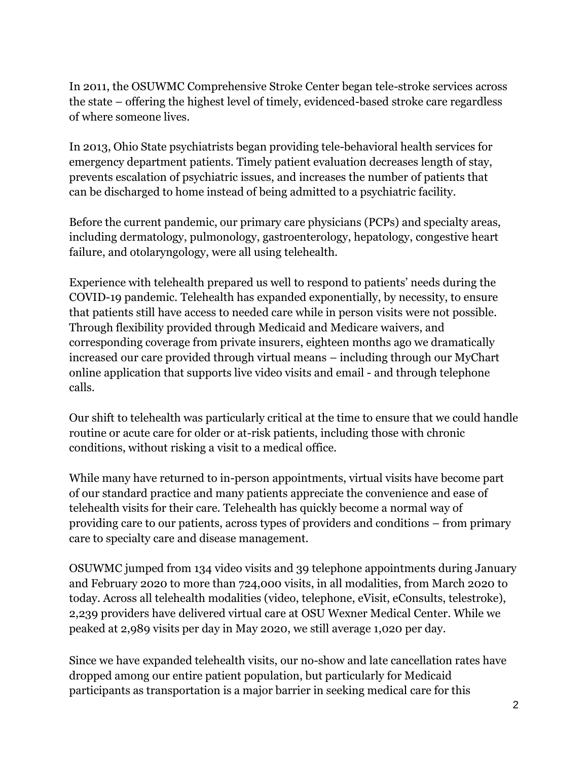In 2011, the OSUWMC Comprehensive Stroke Center began tele-stroke services across the state – offering the highest level of timely, evidenced-based stroke care regardless of where someone lives.

In 2013, Ohio State psychiatrists began providing tele-behavioral health services for emergency department patients. Timely patient evaluation decreases length of stay, prevents escalation of psychiatric issues, and increases the number of patients that can be discharged to home instead of being admitted to a psychiatric facility.

Before the current pandemic, our primary care physicians (PCPs) and specialty areas, including dermatology, pulmonology, gastroenterology, hepatology, congestive heart failure, and otolaryngology, were all using telehealth.

Experience with telehealth prepared us well to respond to patients' needs during the COVID-19 pandemic. Telehealth has expanded exponentially, by necessity, to ensure that patients still have access to needed care while in person visits were not possible. Through flexibility provided through Medicaid and Medicare waivers, and corresponding coverage from private insurers, eighteen months ago we dramatically increased our care provided through virtual means – including through our MyChart online application that supports live video visits and email - and through telephone calls.

Our shift to telehealth was particularly critical at the time to ensure that we could handle routine or acute care for older or at-risk patients, including those with chronic conditions, without risking a visit to a medical office.

While many have returned to in-person appointments, virtual visits have become part of our standard practice and many patients appreciate the convenience and ease of telehealth visits for their care. Telehealth has quickly become a normal way of providing care to our patients, across types of providers and conditions – from primary care to specialty care and disease management.

OSUWMC jumped from 134 video visits and 39 telephone appointments during January and February 2020 to more than 724,000 visits, in all modalities, from March 2020 to today. Across all telehealth modalities (video, telephone, eVisit, eConsults, telestroke), 2,239 providers have delivered virtual care at OSU Wexner Medical Center. While we peaked at 2,989 visits per day in May 2020, we still average 1,020 per day.

Since we have expanded telehealth visits, our no-show and late cancellation rates have dropped among our entire patient population, but particularly for Medicaid participants as transportation is a major barrier in seeking medical care for this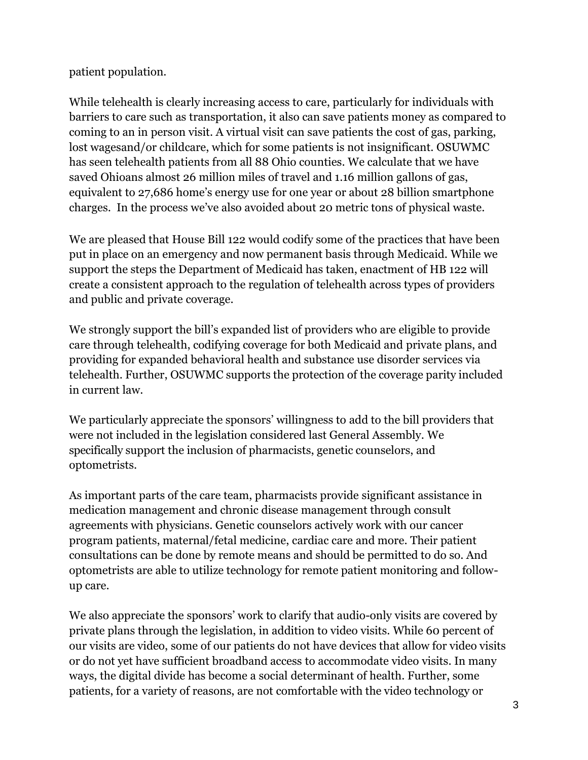patient population.

While telehealth is clearly increasing access to care, particularly for individuals with barriers to care such as transportation, it also can save patients money as compared to coming to an in person visit. A virtual visit can save patients the cost of gas, parking, lost wagesand/or childcare, which for some patients is not insignificant. OSUWMC has seen telehealth patients from all 88 Ohio counties. We calculate that we have saved Ohioans almost 26 million miles of travel and 1.16 million gallons of gas, equivalent to 27,686 home's energy use for one year or about 28 billion smartphone charges. In the process we've also avoided about 20 metric tons of physical waste.

We are pleased that House Bill 122 would codify some of the practices that have been put in place on an emergency and now permanent basis through Medicaid. While we support the steps the Department of Medicaid has taken, enactment of HB 122 will create a consistent approach to the regulation of telehealth across types of providers and public and private coverage.

We strongly support the bill's expanded list of providers who are eligible to provide care through telehealth, codifying coverage for both Medicaid and private plans, and providing for expanded behavioral health and substance use disorder services via telehealth. Further, OSUWMC supports the protection of the coverage parity included in current law.

We particularly appreciate the sponsors' willingness to add to the bill providers that were not included in the legislation considered last General Assembly. We specifically support the inclusion of pharmacists, genetic counselors, and optometrists.

As important parts of the care team, pharmacists provide significant assistance in medication management and chronic disease management through consult agreements with physicians. Genetic counselors actively work with our cancer program patients, maternal/fetal medicine, cardiac care and more. Their patient consultations can be done by remote means and should be permitted to do so. And optometrists are able to utilize technology for remote patient monitoring and followup care.

We also appreciate the sponsors' work to clarify that audio-only visits are covered by private plans through the legislation, in addition to video visits. While 60 percent of our visits are video, some of our patients do not have devices that allow for video visits or do not yet have sufficient broadband access to accommodate video visits. In many ways, the digital divide has become a social determinant of health. Further, some patients, for a variety of reasons, are not comfortable with the video technology or